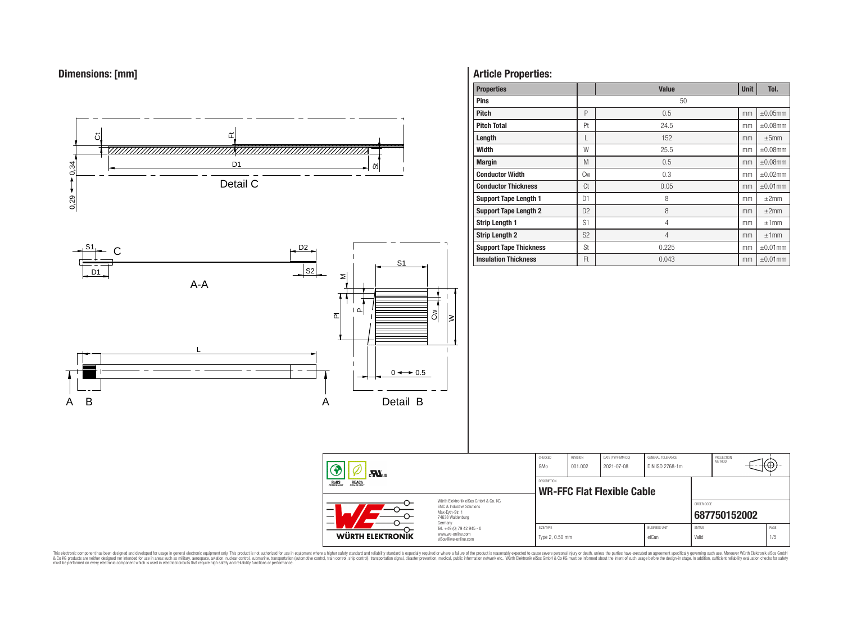



## **Article Properties:**

| <b>Properties</b>             |                | <b>Value</b>   | <b>Unit</b> | Tol.          |
|-------------------------------|----------------|----------------|-------------|---------------|
| <b>Pins</b>                   |                | 50             |             |               |
| <b>Pitch</b>                  | P              | 0.5            | mm          | $\pm 0.05$ mm |
| <b>Pitch Total</b>            | Pt             | 24.5           | mm          | $\pm 0.08$ mm |
| Length                        |                | 152            | mm          | $\pm 5$ mm    |
| <b>Width</b>                  | W              | 25.5           | mm          | $\pm 0.08$ mm |
| <b>Margin</b>                 | M              | 0.5            | mm          | $\pm 0.08$ mm |
| <b>Conductor Width</b>        | Cw             | 0.3            | mm          | $\pm 0.02$ mm |
| <b>Conductor Thickness</b>    | Ct             | 0.05           | mm          | $\pm 0.01$ mm |
| <b>Support Tape Length 1</b>  | D <sub>1</sub> | 8              | mm          | ±2mm          |
| <b>Support Tape Length 2</b>  | D <sub>2</sub> | 8              | mm          | ±2mm          |
| <b>Strip Length 1</b>         | S <sub>1</sub> | 4              | mm          | ±1mm          |
| <b>Strip Length 2</b>         | S <sub>2</sub> | $\overline{4}$ | mm          | ±1mm          |
| <b>Support Tape Thickness</b> | St             | 0.225          | mm          | $\pm 0.01$ mm |
| <b>Insulation Thickness</b>   | Ft             | 0.043          | mm          | $\pm 0.01$ mm |

CHECKED REVISION DATE (YYYY-MM-DD) GENERAL TOLERANCE

**WR-FFC Flat Flexible Cable** 

DESCRIPTION

GMo 001.002 2021-07-08 DIN ISO 2768-1m

PROJECTION<br>METHOD

⊕

**[687750152002](https://www.we-online.com/catalog/en/article/687750152002)**

ORDER CODE

SIZE/TYPE BUSINESS UNIT STATUS PAGE Type 2, 0.50 mm eiCan value of the Valid Valid Valid 1/5

This electronic component has been designed and developed for usage in general electronic equipment only. This product is not authorized for subserved requipment where a higher selection equipment where a higher selection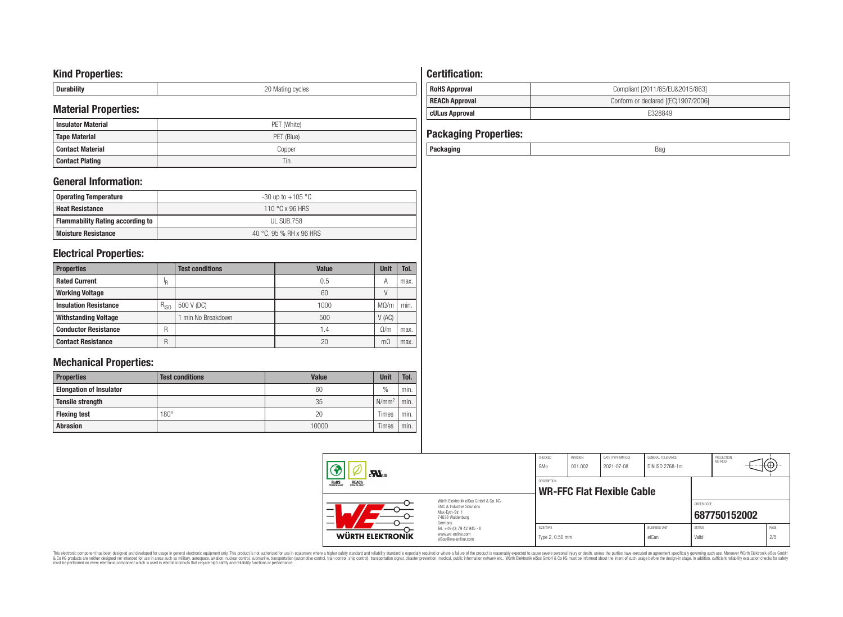## **Kind Properties:**

| <b>Duruping</b> | ററ<br>20 Mating cycles |
|-----------------|------------------------|

# **Material Properties:**

| IVIALEITAI PTODEITIES. |             |  | <b>cULus Approval</b>        | E328849 |
|------------------------|-------------|--|------------------------------|---------|
| l Insulator Material   | PET (White) |  |                              |         |
| Tape Material          | PET (Blue)  |  | <b>Packaging Properties:</b> |         |
| l Contact Material     | Copper      |  | Packaging                    | Bag     |
| <b>Contact Plating</b> | 1 in        |  |                              |         |

# **General Information:**

| Operating Temperature                   | -30 up to +105 $^{\circ}$ C |
|-----------------------------------------|-----------------------------|
| <b>Heat Resistance</b>                  | 110 °C x 96 HRS             |
| <b>Flammability Rating according to</b> | UL SUB.758                  |
| <b>Moisture Resistance</b>              | 40 °C, 95 % RH x 96 HRS     |

# **Electrical Properties:**

| <b>Properties</b>            |           | <b>Test conditions</b> | Value | <b>Unit</b> | Tol. |
|------------------------------|-----------|------------------------|-------|-------------|------|
| <b>Rated Current</b>         | 'R        |                        | 0.5   | А           | max. |
| <b>Working Voltage</b>       |           |                        | 60    |             |      |
| <b>Insulation Resistance</b> | $R_{ISO}$ | 500 V (DC)             | 1000  | $M\Omega/m$ | min. |
| <b>Withstanding Voltage</b>  |           | min No Breakdown       | 500   | V(AC)       |      |
| <b>Conductor Resistance</b>  | R         |                        | 1.4   | $\Omega/m$  | max. |
| <b>Contact Resistance</b>    | R         |                        | 20    | mΩ          | max. |

# **Mechanical Properties:**

| <b>Properties</b>              | <b>Test conditions</b> | <b>Value</b> | <b>Unit</b>       | Tol. |
|--------------------------------|------------------------|--------------|-------------------|------|
| <b>Elongation of Insulator</b> |                        | 60           | $\frac{0}{0}$     | min. |
| <b>Tensile strength</b>        |                        | 35           | N/mm <sup>2</sup> | min. |
| <b>Flexing test</b>            | $180^\circ$            | 20           | Times             | min. |
| <b>Abrasion</b>                |                        | 10000        | Times             | min. |

# **Certification: RoHS Approval RoHS Approval Compliant** [2011/65/EU&2015/863] **REACh Approval REACh Approval Conform or declared [(EC)1907/2006]**

# **Packaging Properties:**<br>Packaging

| Packaging | ٢Я |
|-----------|----|
|           |    |

| $\mathbf{M}_{\text{us}}$                       |                                                                                      | CHECKED<br>GMo  | REVISION<br>001.002 | DATE (YYYY-MM-DD)<br>2021-07-08 | GENERAL TOLERANCE<br>DIN ISO 2768-1m |               | PROJECTION<br><b>METHOD</b> | ₩₩,  |
|------------------------------------------------|--------------------------------------------------------------------------------------|-----------------|---------------------|---------------------------------|--------------------------------------|---------------|-----------------------------|------|
| ROHS<br>COMPLIANT<br><b>REACH</b><br>COMPLIANT |                                                                                      | DESCRIPTION     |                     | WR-FFC Flat Flexible Cable      |                                      |               |                             |      |
|                                                | Würth Flektronik eiSos GmbH & Co. KG<br>EMC & Inductive Solutions<br>Max-Evth-Str. 1 |                 |                     |                                 |                                      | ORDER CODE    | 687750152002                |      |
| 74638 Waldenburg<br>Germany                    |                                                                                      |                 |                     |                                 |                                      |               |                             |      |
| WÜRTH ELEKTRONIK                               | Tel. +49 (0) 79 42 945 - 0<br>www.we-online.com                                      | SIZE/TYPE       |                     |                                 | <b>BLISINESS LINIT</b>               | <b>STATUS</b> |                             | PAGE |
|                                                | eiSos@we-online.com                                                                  | Type 2, 0.50 mm |                     |                                 | eiCan                                | Valid         |                             | 2/5  |

This electronic component has been designed and developed for usage in general electronic equipment only. This product is not authorized for subserved requipment where a higher selection equipment where a higher selection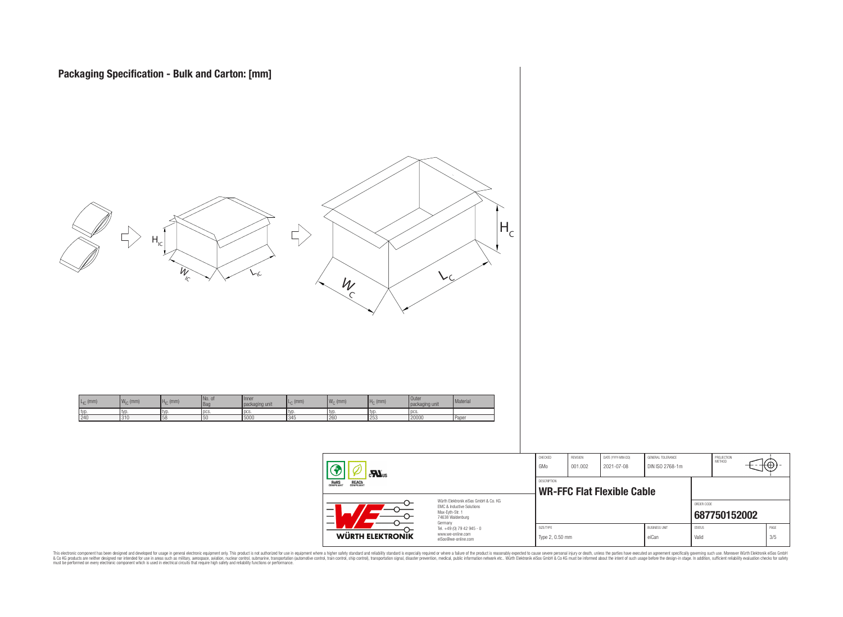

| www.we-online.com<br>eiSos@we-online.com                                                                            | Type 2, 0.50 mm    |                     |                                   | eiCan                                | Valid         |                      | 3/5  |  |
|---------------------------------------------------------------------------------------------------------------------|--------------------|---------------------|-----------------------------------|--------------------------------------|---------------|----------------------|------|--|
| Germany<br>Tel. +49 (0) 79 42 945 - 0                                                                               | SIZE/TYPE          |                     |                                   | <b>BUSINESS UNIT</b>                 | <b>STATUS</b> |                      | PAGE |  |
| Würth Flektronik eiSos GmbH & Co. KG<br><b>FMC &amp; Inductive Solutions</b><br>Max-Eyth-Str. 1<br>74638 Waldenburg |                    |                     |                                   |                                      | ORDER CODE    | 687750152002         |      |  |
|                                                                                                                     | <b>DESCRIPTION</b> |                     | <b>WR-FFC Flat Flexible Cable</b> |                                      |               |                      |      |  |
|                                                                                                                     | CHECKED<br>GMo     | REVISION<br>001.002 | DATE (YYYY-MM-DD)<br>2021-07-08   | GENERAL TOLERANCE<br>DIN ISO 2768-1m |               | PROJECTION<br>MFTHOD | Ψ€.  |  |

This electronic component has been designed and developed for usage in general electronic equipment only. This product is not authorized for subserved requipment where a higher selection equipment where a higher selection

WÜRTH ELEKTRONIK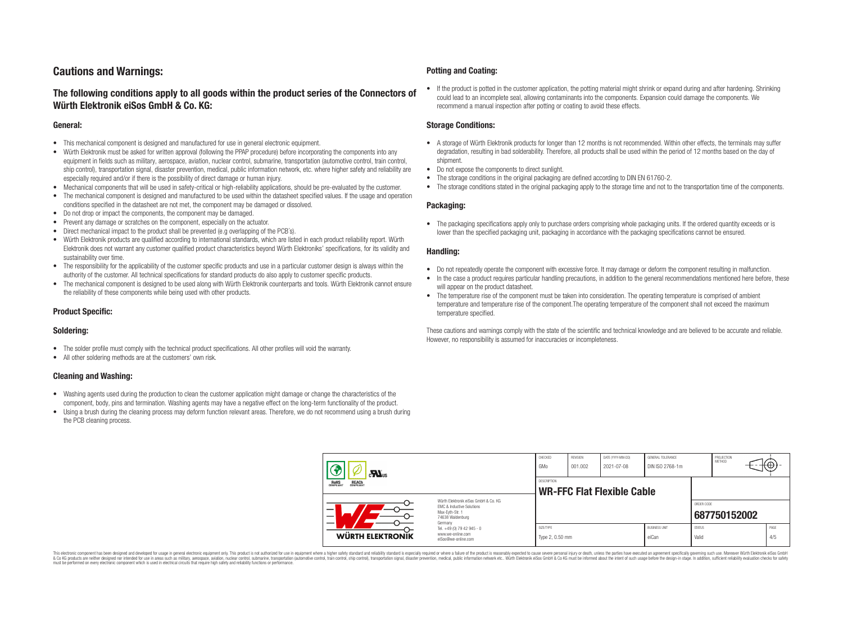## **Cautions and Warnings:**

## **The following conditions apply to all goods within the product series of the Connectors of Würth Elektronik eiSos GmbH & Co. KG:**

#### **General:**

- This mechanical component is designed and manufactured for use in general electronic equipment.
- Würth Elektronik must be asked for written approval (following the PPAP procedure) before incorporating the components into any equipment in fields such as military, aerospace, aviation, nuclear control, submarine, transportation (automotive control, train control, ship control), transportation signal, disaster prevention, medical, public information network, etc. where higher safety and reliability are especially required and/or if there is the possibility of direct damage or human injury.
- Mechanical components that will be used in safety-critical or high-reliability applications, should be pre-evaluated by the customer.
- The mechanical component is designed and manufactured to be used within the datasheet specified values. If the usage and operation conditions specified in the datasheet are not met, the component may be damaged or dissolved.
- Do not drop or impact the components, the component may be damaged.
- Prevent any damage or scratches on the component, especially on the actuator.
- Direct mechanical impact to the product shall be prevented (e.g overlapping of the PCB's).
- Würth Elektronik products are qualified according to international standards, which are listed in each product reliability report. Würth Elektronik does not warrant any customer qualified product characteristics beyond Würth Elektroniks' specifications, for its validity and sustainability over time.
- The responsibility for the applicability of the customer specific products and use in a particular customer design is always within the authority of the customer. All technical specifications for standard products do also apply to customer specific products.
- The mechanical component is designed to be used along with Würth Elektronik counterparts and tools. Würth Elektronik cannot ensure the reliability of these components while being used with other products.

#### **Product Specific:**

#### **Soldering:**

- The solder profile must comply with the technical product specifications. All other profiles will void the warranty.
- All other soldering methods are at the customers' own risk.

#### **Cleaning and Washing:**

- Washing agents used during the production to clean the customer application might damage or change the characteristics of the component, body, pins and termination. Washing agents may have a negative effect on the long-term functionality of the product.
- Using a brush during the cleaning process may deform function relevant areas. Therefore, we do not recommend using a brush during the PCB cleaning process.

#### **Potting and Coating:**

• If the product is potted in the customer application, the potting material might shrink or expand during and after hardening. Shrinking could lead to an incomplete seal, allowing contaminants into the components. Expansion could damage the components. We recommend a manual inspection after potting or coating to avoid these effects.

#### **Storage Conditions:**

- A storage of Würth Elektronik products for longer than 12 months is not recommended. Within other effects, the terminals may suffer degradation, resulting in bad solderability. Therefore, all products shall be used within the period of 12 months based on the day of shipment.
- Do not expose the components to direct sunlight.
- The storage conditions in the original packaging are defined according to DIN EN 61760-2.
- The storage conditions stated in the original packaging apply to the storage time and not to the transportation time of the components.

#### **Packaging:**

• The packaging specifications apply only to purchase orders comprising whole packaging units. If the ordered quantity exceeds or is lower than the specified packaging unit, packaging in accordance with the packaging specifications cannot be ensured.

#### **Handling:**

- Do not repeatedly operate the component with excessive force. It may damage or deform the component resulting in malfunction.
- In the case a product requires particular handling precautions, in addition to the general recommendations mentioned here before, these will appear on the product datasheet
- The temperature rise of the component must be taken into consideration. The operating temperature is comprised of ambient temperature and temperature rise of the component.The operating temperature of the component shall not exceed the maximum temperature specified.

These cautions and warnings comply with the state of the scientific and technical knowledge and are believed to be accurate and reliable. However, no responsibility is assumed for inaccuracies or incompleteness.

| $\mathbf{r}$                                                                                                        |                                                                        | CHECKED<br>GMo                                          | REVISION<br>001.002 | DATE (YYYY-MM-DD)<br>2021-07-08 | GENERAL TOLERANCE<br>DIN ISO 2768-1m |                        | PROJECTION<br>METHOD | ₩ |             |
|---------------------------------------------------------------------------------------------------------------------|------------------------------------------------------------------------|---------------------------------------------------------|---------------------|---------------------------------|--------------------------------------|------------------------|----------------------|---|-------------|
| ROHS<br>COMPLIANT<br><b>REACH</b><br>COMPLIANT                                                                      |                                                                        | <b>DESCRIPTION</b><br><b>WR-FFC Flat Flexible Cable</b> |                     |                                 |                                      |                        |                      |   |             |
| Würth Elektronik eiSos GmbH & Co. KG<br>EMC & Inductive Solutions<br>Max-Eyth-Str. 1<br>74638 Waldenburg<br>Germany |                                                                        |                                                         |                     |                                 |                                      | ORDER CODE             | 687750152002         |   |             |
| <b>WÜRTH ELEKTRONIK</b>                                                                                             | Tel. +49 (0) 79 42 945 - 0<br>www.we-online.com<br>eiSos@we-online.com | SIZE/TYPE<br>Type 2, 0.50 mm                            |                     |                                 | <b>BUSINESS UNIT</b><br>eiCan        | <b>STATUS</b><br>Valid |                      |   | PAGE<br>4/5 |

This electronic component has been designed and developed for usage in general electronic equipment only. This product is not authorized for use in equipment where a higher safety standard and reliability standard si espec & Ook product a label and the membed of the seasuch as marked and as which such a membed and the such assume that income in the seasuch and the simulation and the such assume that include to the such a membed and the such